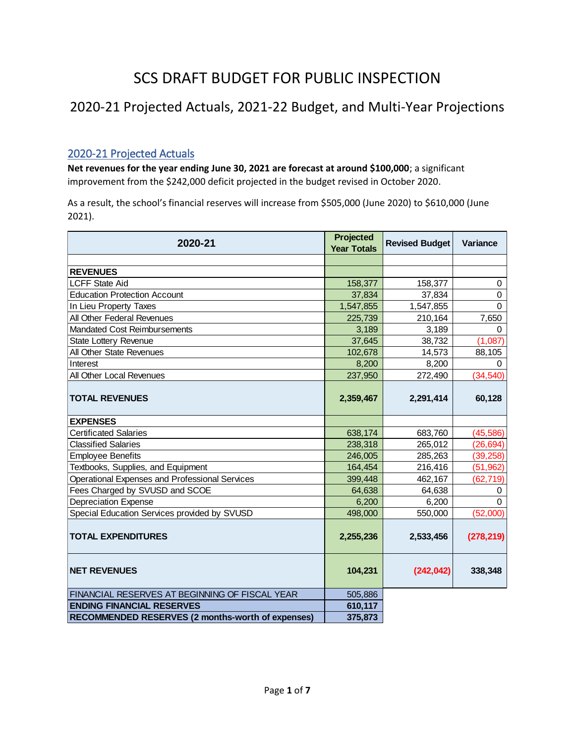# SCS DRAFT BUDGET FOR PUBLIC INSPECTION

# 2020-21 Projected Actuals, 2021-22 Budget, and Multi-Year Projections

## 2020-21 Projected Actuals

**Net revenues for the year ending June 30, 2021 are forecast at around \$100,000**; a significant improvement from the \$242,000 deficit projected in the budget revised in October 2020.

As a result, the school's financial reserves will increase from \$505,000 (June 2020) to \$610,000 (June 2021).

| 2020-21                                           | Projected<br><b>Year Totals</b> | <b>Revised Budget</b> | <b>Variance</b> |
|---------------------------------------------------|---------------------------------|-----------------------|-----------------|
|                                                   |                                 |                       |                 |
| <b>REVENUES</b>                                   |                                 |                       |                 |
| <b>LCFF State Aid</b>                             | 158,377                         | 158,377               | 0               |
| <b>Education Protection Account</b>               | 37,834                          | 37,834                | 0               |
| In Lieu Property Taxes                            | 1,547,855                       | 1,547,855             | $\Omega$        |
| All Other Federal Revenues                        | 225,739                         | 210,164               | 7,650           |
| Mandated Cost Reimbursements                      | 3,189                           | 3,189                 | 0               |
| <b>State Lottery Revenue</b>                      | 37,645                          | 38,732                | (1,087)         |
| All Other State Revenues                          | 102,678                         | 14,573                | 88,105          |
| Interest                                          | 8,200                           | 8,200                 | 0               |
| All Other Local Revenues                          | 237,950                         | 272,490               | (34, 540)       |
| <b>TOTAL REVENUES</b>                             | 2,359,467                       | 2,291,414             | 60,128          |
| <b>EXPENSES</b>                                   |                                 |                       |                 |
| <b>Certificated Salaries</b>                      | 638,174                         | 683,760               | (45, 586)       |
| <b>Classified Salaries</b>                        | 238,318                         | 265,012               | (26, 694)       |
| <b>Employee Benefits</b>                          | 246,005                         | 285,263               | (39, 258)       |
| Textbooks, Supplies, and Equipment                | 164,454                         | 216,416               | (51, 962)       |
| Operational Expenses and Professional Services    | 399,448                         | 462,167               | (62,719)        |
| Fees Charged by SVUSD and SCOE                    | 64,638                          | 64,638                | 0               |
| <b>Depreciation Expense</b>                       | 6,200                           | 6,200                 | $\Omega$        |
| Special Education Services provided by SVUSD      | 498,000                         | 550,000               | (52,000)        |
| <b>TOTAL EXPENDITURES</b>                         | 2,255,236                       | 2,533,456             | (278, 219)      |
| <b>NET REVENUES</b>                               | 104,231                         | (242, 042)            | 338,348         |
| FINANCIAL RESERVES AT BEGINNING OF FISCAL YEAR    | 505,886                         |                       |                 |
| <b>ENDING FINANCIAL RESERVES</b>                  | 610,117                         |                       |                 |
| RECOMMENDED RESERVES (2 months-worth of expenses) | 375,873                         |                       |                 |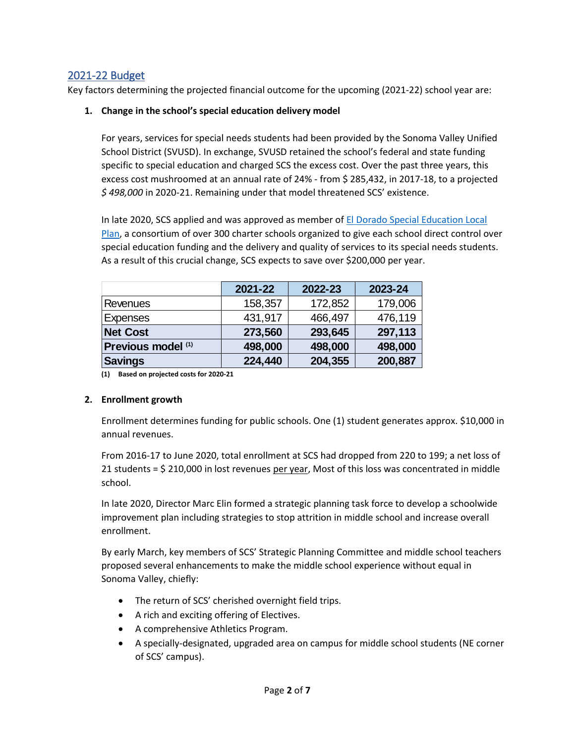## 2021-22 Budget

Key factors determining the projected financial outcome for the upcoming (2021-22) school year are:

#### **1. Change in the school's special education delivery model**

For years, services for special needs students had been provided by the Sonoma Valley Unified School District (SVUSD). In exchange, SVUSD retained the school's federal and state funding specific to special education and charged SCS the excess cost. Over the past three years, this excess cost mushroomed at an annual rate of 24% - from \$ 285,432, in 2017-18, to a projected *\$ 498,000* in 2020-21. Remaining under that model threatened SCS' existence.

In late 2020, SCS applied and was approved as member of [El Dorado Special Education Local](https://charterselpa.org/about/)  [Plan,](https://charterselpa.org/about/) a consortium of over 300 charter schools organized to give each school direct control over special education funding and the delivery and quality of services to its special needs students. As a result of this crucial change, SCS expects to save over \$200,000 per year.

|                    | 2021-22 | 2022-23 | 2023-24 |
|--------------------|---------|---------|---------|
| Revenues           | 158,357 | 172,852 | 179,006 |
| Expenses           | 431,917 | 466,497 | 476,119 |
| <b>Net Cost</b>    | 273,560 | 293,645 | 297,113 |
| Previous model (1) | 498,000 | 498,000 | 498,000 |
| <b>Savings</b>     | 224,440 | 204,355 | 200,887 |

**(1) Based on projected costs for 2020-21**

#### **2. Enrollment growth**

Enrollment determines funding for public schools. One (1) student generates approx. \$10,000 in annual revenues.

From 2016-17 to June 2020, total enrollment at SCS had dropped from 220 to 199; a net loss of 21 students = \$ 210,000 in lost revenues per year, Most of this loss was concentrated in middle school.

In late 2020, Director Marc Elin formed a strategic planning task force to develop a schoolwide improvement plan including strategies to stop attrition in middle school and increase overall enrollment.

By early March, key members of SCS' Strategic Planning Committee and middle school teachers proposed several enhancements to make the middle school experience without equal in Sonoma Valley, chiefly:

- The return of SCS' cherished overnight field trips.
- A rich and exciting offering of Electives.
- A comprehensive Athletics Program.
- A specially-designated, upgraded area on campus for middle school students (NE corner of SCS' campus).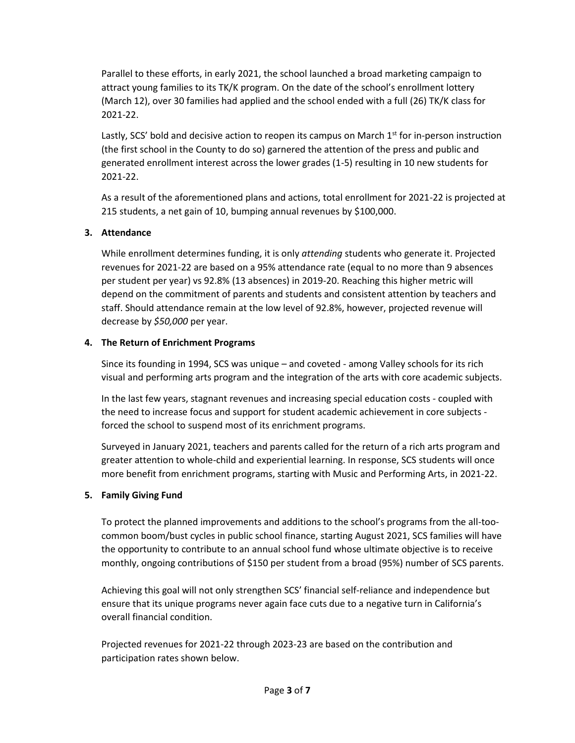Parallel to these efforts, in early 2021, the school launched a broad marketing campaign to attract young families to its TK/K program. On the date of the school's enrollment lottery (March 12), over 30 families had applied and the school ended with a full (26) TK/K class for 2021-22.

Lastly, SCS' bold and decisive action to reopen its campus on March  $1<sup>st</sup>$  for in-person instruction (the first school in the County to do so) garnered the attention of the press and public and generated enrollment interest across the lower grades (1-5) resulting in 10 new students for 2021-22.

As a result of the aforementioned plans and actions, total enrollment for 2021-22 is projected at 215 students, a net gain of 10, bumping annual revenues by \$100,000.

#### **3. Attendance**

While enrollment determines funding, it is only *attending* students who generate it. Projected revenues for 2021-22 are based on a 95% attendance rate (equal to no more than 9 absences per student per year) vs 92.8% (13 absences) in 2019-20. Reaching this higher metric will depend on the commitment of parents and students and consistent attention by teachers and staff. Should attendance remain at the low level of 92.8%, however, projected revenue will decrease by *\$50,000* per year.

#### **4. The Return of Enrichment Programs**

Since its founding in 1994, SCS was unique – and coveted - among Valley schools for its rich visual and performing arts program and the integration of the arts with core academic subjects.

In the last few years, stagnant revenues and increasing special education costs - coupled with the need to increase focus and support for student academic achievement in core subjects forced the school to suspend most of its enrichment programs.

Surveyed in January 2021, teachers and parents called for the return of a rich arts program and greater attention to whole-child and experiential learning. In response, SCS students will once more benefit from enrichment programs, starting with Music and Performing Arts, in 2021-22.

### **5. Family Giving Fund**

To protect the planned improvements and additions to the school's programs from the all-toocommon boom/bust cycles in public school finance, starting August 2021, SCS families will have the opportunity to contribute to an annual school fund whose ultimate objective is to receive monthly, ongoing contributions of \$150 per student from a broad (95%) number of SCS parents.

Achieving this goal will not only strengthen SCS' financial self-reliance and independence but ensure that its unique programs never again face cuts due to a negative turn in California's overall financial condition.

Projected revenues for 2021-22 through 2023-23 are based on the contribution and participation rates shown below.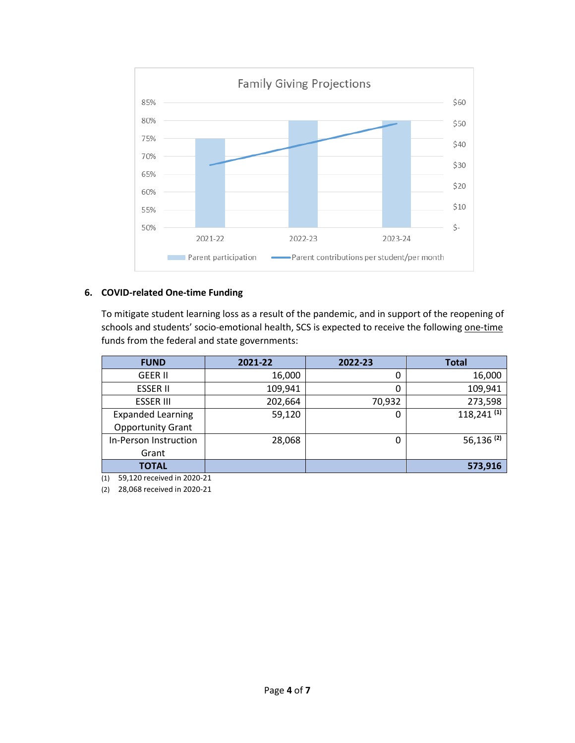

#### **6. COVID-related One-time Funding**

To mitigate student learning loss as a result of the pandemic, and in support of the reopening of schools and students' socio-emotional health, SCS is expected to receive the following one-time funds from the federal and state governments:

| <b>FUND</b>              | 2021-22 | 2022-23 | <b>Total</b>             |
|--------------------------|---------|---------|--------------------------|
| <b>GEER II</b>           | 16,000  | 0       | 16,000                   |
| <b>ESSER II</b>          | 109,941 | 0       | 109,941                  |
| <b>ESSER III</b>         | 202,664 | 70,932  | 273,598                  |
| <b>Expanded Learning</b> | 59,120  | 0       | $118,241$ <sup>(1)</sup> |
| <b>Opportunity Grant</b> |         |         |                          |
| In-Person Instruction    | 28,068  | 0       | $56,136$ <sup>(2)</sup>  |
| Grant                    |         |         |                          |
| <b>TOTAL</b>             |         |         | 573,916                  |

(1) 59,120 received in 2020-21

(2) 28,068 received in 2020-21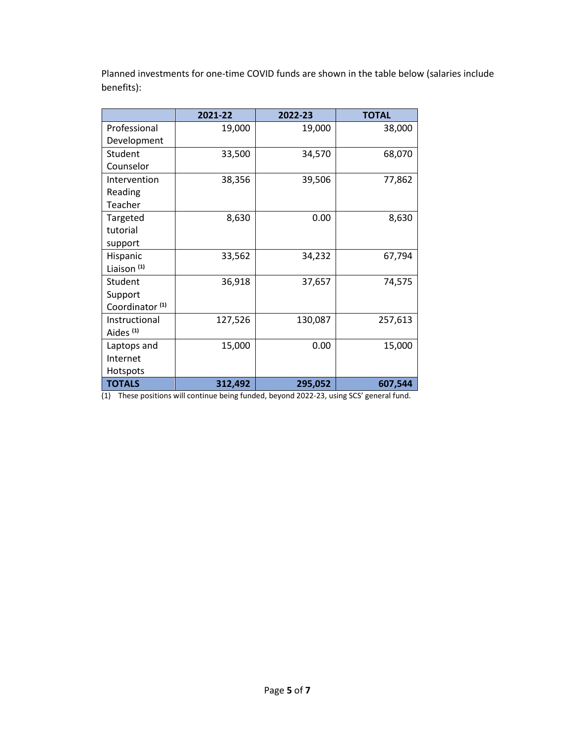Planned investments for one-time COVID funds are shown in the table below (salaries include benefits):

|                            | 2021-22 | 2022-23 | <b>TOTAL</b> |
|----------------------------|---------|---------|--------------|
| Professional               | 19,000  | 19,000  | 38,000       |
| Development                |         |         |              |
| Student                    | 33,500  | 34,570  | 68,070       |
| Counselor                  |         |         |              |
| Intervention               | 38,356  | 39,506  | 77,862       |
| Reading                    |         |         |              |
| Teacher                    |         |         |              |
| Targeted                   | 8,630   | 0.00    | 8,630        |
| tutorial                   |         |         |              |
| support                    |         |         |              |
| Hispanic                   | 33,562  | 34,232  | 67,794       |
| Liaison <sup>(1)</sup>     |         |         |              |
| Student                    | 36,918  | 37,657  | 74,575       |
| Support                    |         |         |              |
| Coordinator <sup>(1)</sup> |         |         |              |
| Instructional              | 127,526 | 130,087 | 257,613      |
| Aides <sup>(1)</sup>       |         |         |              |
| Laptops and                | 15,000  | 0.00    | 15,000       |
| Internet                   |         |         |              |
| Hotspots                   |         |         |              |
| <b>TOTALS</b>              | 312,492 | 295,052 | 607,544      |

(1) These positions will continue being funded, beyond 2022-23, using SCS' general fund.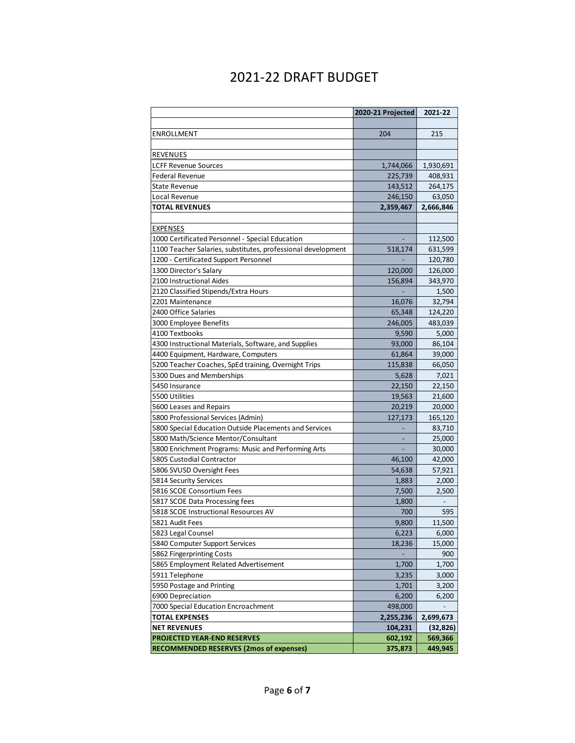# 2021-22 DRAFT BUDGET

|                                                              | 2020-21 Projected | 2021-22   |
|--------------------------------------------------------------|-------------------|-----------|
|                                                              |                   |           |
| ENROLLMENT                                                   | 204               | 215       |
|                                                              |                   |           |
| <b>REVENUES</b>                                              |                   |           |
| <b>LCFF Revenue Sources</b>                                  | 1,744,066         | 1,930,691 |
| Federal Revenue                                              | 225,739           | 408,931   |
| <b>State Revenue</b>                                         | 143,512           | 264,175   |
| Local Revenue                                                | 246,150           | 63,050    |
| <b>TOTAL REVENUES</b>                                        | 2,359,467         | 2,666,846 |
|                                                              |                   |           |
| <b>EXPENSES</b>                                              |                   |           |
| 1000 Certificated Personnel - Special Education              |                   | 112,500   |
| 1100 Teacher Salaries, substitutes, professional development | 518,174           | 631,599   |
| 1200 - Certificated Support Personnel                        |                   | 120,780   |
| 1300 Director's Salary                                       | 120,000           | 126,000   |
| 2100 Instructional Aides                                     | 156,894           | 343,970   |
| 2120 Classified Stipends/Extra Hours                         |                   | 1,500     |
| 2201 Maintenance                                             | 16,076            | 32,794    |
| 2400 Office Salaries                                         | 65,348            | 124,220   |
| 3000 Employee Benefits                                       | 246,005           | 483,039   |
| 4100 Textbooks                                               | 9,590             | 5,000     |
| 4300 Instructional Materials, Software, and Supplies         | 93,000            | 86,104    |
| 4400 Equipment, Hardware, Computers                          | 61,864            | 39,000    |
| 5200 Teacher Coaches, SpEd training, Overnight Trips         | 115,838           | 66,050    |
| 5300 Dues and Memberships                                    | 5,628             | 7,021     |
| 5450 Insurance                                               | 22,150            | 22,150    |
| 5500 Utilities                                               | 19,563            | 21,600    |
| 5600 Leases and Repairs                                      | 20,219            | 20,000    |
| 5800 Professional Services (Admin)                           | 127,173           | 165,120   |
| 5800 Special Education Outside Placements and Services       |                   | 83,710    |
| 5800 Math/Science Mentor/Consultant                          |                   | 25,000    |
| 5800 Enrichment Programs: Music and Performing Arts          |                   | 30,000    |
| 5805 Custodial Contractor                                    | 46,100            | 42,000    |
| 5806 SVUSD Oversight Fees                                    | 54,638            | 57,921    |
| 5814 Security Services                                       | 1,883             | 2,000     |
| 5816 SCOE Consortium Fees                                    | 7,500             | 2,500     |
| 5817 SCOE Data Processing fees                               | 1,800             |           |
| 5818 SCOE Instructional Resources AV                         | 700               | 595       |
| 5821 Audit Fees                                              | 9,800             | 11,500    |
| 5823 Legal Counsel                                           | 6,223             | 6,000     |
| 5840 Computer Support Services                               | 18,236            | 15,000    |
| 5862 Fingerprinting Costs                                    |                   | 900       |
| 5865 Employment Related Advertisement                        | 1,700             | 1,700     |
| 5911 Telephone                                               | 3,235             | 3,000     |
| 5950 Postage and Printing                                    | 1,701             | 3,200     |
| 6900 Depreciation                                            | 6,200             | 6,200     |
| 7000 Special Education Encroachment                          | 498,000           |           |
| <b>TOTAL EXPENSES</b>                                        | 2,255,236         | 2,699,673 |
| <b>NET REVENUES</b>                                          | 104,231           | (32, 826) |
| <b>PROJECTED YEAR-END RESERVES</b>                           | 602,192           | 569,366   |
| <b>RECOMMENDED RESERVES (2mos of expenses)</b>               | 375,873           | 449,945   |